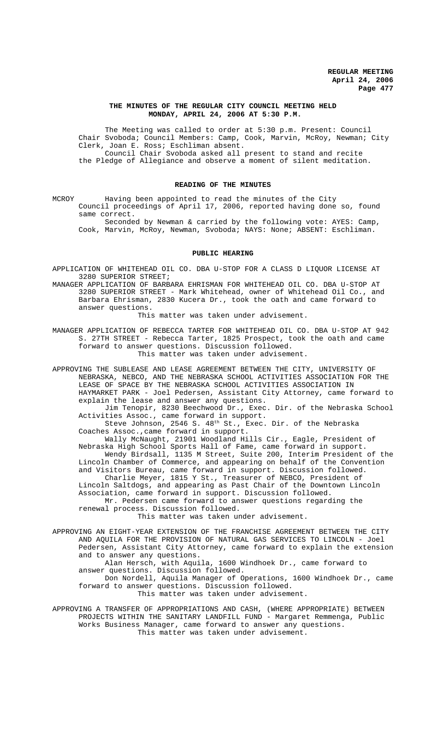## **THE MINUTES OF THE REGULAR CITY COUNCIL MEETING HELD MONDAY, APRIL 24, 2006 AT 5:30 P.M.**

The Meeting was called to order at 5:30 p.m. Present: Council Chair Svoboda; Council Members: Camp, Cook, Marvin, McRoy, Newman; City Clerk, Joan E. Ross; Eschliman absent. Council Chair Svoboda asked all present to stand and recite the Pledge of Allegiance and observe a moment of silent meditation.

# **READING OF THE MINUTES**

MCROY Having been appointed to read the minutes of the City Council proceedings of April 17, 2006, reported having done so, found same correct.

Seconded by Newman & carried by the following vote: AYES: Camp, Cook, Marvin, McRoy, Newman, Svoboda; NAYS: None; ABSENT: Eschliman.

#### **PUBLIC HEARING**

APPLICATION OF WHITEHEAD OIL CO. DBA U-STOP FOR A CLASS D LIQUOR LICENSE AT 3280 SUPERIOR STREET;

MANAGER APPLICATION OF BARBARA EHRISMAN FOR WHITEHEAD OIL CO. DBA U-STOP AT 3280 SUPERIOR STREET - Mark Whitehead, owner of Whitehead Oil Co., and Barbara Ehrisman, 2830 Kucera Dr., took the oath and came forward to answer questions.

This matter was taken under advisement.

MANAGER APPLICATION OF REBECCA TARTER FOR WHITEHEAD OIL CO. DBA U-STOP AT 942 S. 27TH STREET - Rebecca Tarter, 1825 Prospect, took the oath and came forward to answer questions. Discussion followed. This matter was taken under advisement.

APPROVING THE SUBLEASE AND LEASE AGREEMENT BETWEEN THE CITY, UNIVERSITY OF NEBRASKA, NEBCO, AND THE NEBRASKA SCHOOL ACTIVITIES ASSOCIATION FOR THE LEASE OF SPACE BY THE NEBRASKA SCHOOL ACTIVITIES ASSOCIATION IN HAYMARKET PARK - Joel Pedersen, Assistant City Attorney, came forward to explain the lease and answer any questions. Jim Tenopir, 8230 Beechwood Dr., Exec. Dir. of the Nebraska School Activities Assoc., came forward in support. Steve Johnson, 2546 S. 48<sup>th</sup> St., Exec. Dir. of the Nebraska Coaches Assoc.,came forward in support. Wally McNaught, 21901 Woodland Hills Cir., Eagle, President of Nebraska High School Sports Hall of Fame, came forward in support. Wendy Birdsall, 1135 M Street, Suite 200, Interim President of the Lincoln Chamber of Commerce, and appearing on behalf of the Convention and Visitors Bureau, came forward in support. Discussion followed. Charlie Meyer, 1815 Y St., Treasurer of NEBCO, President of Lincoln Saltdogs, and appearing as Past Chair of the Downtown Lincoln Association, came forward in support. Discussion followed. Mr. Pedersen came forward to answer questions regarding the renewal process. Discussion followed. This matter was taken under advisement. APPROVING AN EIGHT-YEAR EXTENSION OF THE FRANCHISE AGREEMENT BETWEEN THE CITY

AND AQUILA FOR THE PROVISION OF NATURAL GAS SERVICES TO LINCOLN - Joel Pedersen, Assistant City Attorney, came forward to explain the extension and to answer any questions. Alan Hersch, with Aquila, 1600 Windhoek Dr., came forward to answer questions. Discussion followed. Don Nordell, Aquila Manager of Operations, 1600 Windhoek Dr., came

forward to answer questions. Discussion followed. This matter was taken under advisement.

APPROVING A TRANSFER OF APPROPRIATIONS AND CASH, (WHERE APPROPRIATE) BETWEEN PROJECTS WITHIN THE SANITARY LANDFILL FUND - Margaret Remmenga, Public Works Business Manager, came forward to answer any questions. This matter was taken under advisement.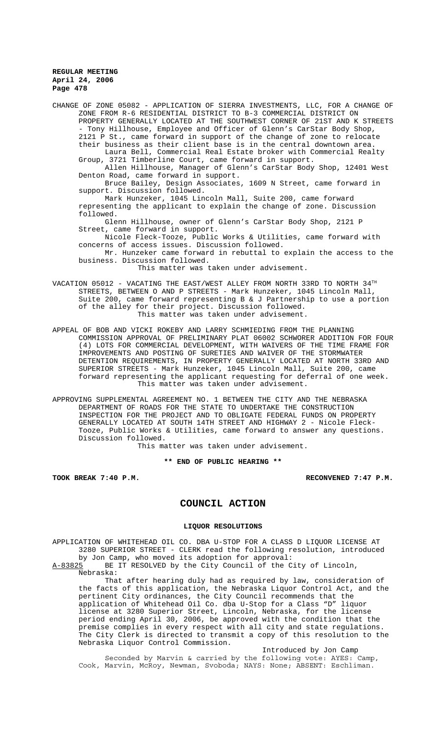CHANGE OF ZONE 05082 - APPLICATION OF SIERRA INVESTMENTS, LLC, FOR A CHANGE OF ZONE FROM R-6 RESIDENTIAL DISTRICT TO B-3 COMMERCIAL DISTRICT ON PROPERTY GENERALLY LOCATED AT THE SOUTHWEST CORNER OF 21ST AND K STREETS - Tony Hillhouse, Employee and Officer of Glenn's CarStar Body Shop, 2121 P St., came forward in support of the change of zone to relocate their business as their client base is in the central downtown area. Laura Bell, Commercial Real Estate broker with Commercial Realty Group, 3721 Timberline Court, came forward in support. Allen Hillhouse, Manager of Glenn's CarStar Body Shop, 12401 West Denton Road, came forward in support. Bruce Bailey, Design Associates, 1609 N Street, came forward in support. Discussion followed. Mark Hunzeker, 1045 Lincoln Mall, Suite 200, came forward representing the applicant to explain the change of zone. Discussion followed. Glenn Hillhouse, owner of Glenn's CarStar Body Shop, 2121 P Street, came forward in support. Nicole Fleck-Tooze, Public Works & Utilities, came forward with concerns of access issues. Discussion followed. Mr. Hunzeker came forward in rebuttal to explain the access to the business. Discussion followed. This matter was taken under advisement. VACATION 05012 - VACATING THE EAST/WEST ALLEY FROM NORTH 33RD TO NORTH  $34^{TH}$ STREETS, BETWEEN O AND P STREETS - Mark Hunzeker, 1045 Lincoln Mall, Suite 200, came forward representing B & J Partnership to use a portion of the alley for their project. Discussion followed. This matter was taken under advisement. APPEAL OF BOB AND VICKI ROKEBY AND LARRY SCHMIEDING FROM THE PLANNING

COMMISSION APPROVAL OF PRELIMINARY PLAT 06002 SCHWORER ADDITION FOR FOUR (4) LOTS FOR COMMERCIAL DEVELOPMENT, WITH WAIVERS OF THE TIME FRAME FOR IMPROVEMENTS AND POSTING OF SURETIES AND WAIVER OF THE STORMWATER DETENTION REQUIREMENTS, IN PROPERTY GENERALLY LOCATED AT NORTH 33RD AND SUPERIOR STREETS - Mark Hunzeker, 1045 Lincoln Mall, Suite 200, came forward representing the applicant requesting for deferral of one week. This matter was taken under advisement.

APPROVING SUPPLEMENTAL AGREEMENT NO. 1 BETWEEN THE CITY AND THE NEBRASKA DEPARTMENT OF ROADS FOR THE STATE TO UNDERTAKE THE CONSTRUCTION INSPECTION FOR THE PROJECT AND TO OBLIGATE FEDERAL FUNDS ON PROPERTY GENERALLY LOCATED AT SOUTH 14TH STREET AND HIGHWAY 2 - Nicole Fleck-Tooze, Public Works & Utilities, came forward to answer any questions. Discussion followed.

This matter was taken under advisement.

**\*\* END OF PUBLIC HEARING \*\***

**TOOK BREAK 7:40 P.M. RECONVENED 7:47 P.M.**

# **COUNCIL ACTION**

### **LIQUOR RESOLUTIONS**

APPLICATION OF WHITEHEAD OIL CO. DBA U-STOP FOR A CLASS D LIQUOR LICENSE AT 3280 SUPERIOR STREET - CLERK read the following resolution, introduced by Jon Camp, who moved its adoption for approval:<br>A-83825 BE IT RESOLVED by the City Council of the C BE IT RESOLVED by the City Council of the City of Lincoln, Nebraska:

That after hearing duly had as required by law, consideration of the facts of this application, the Nebraska Liquor Control Act, and the pertinent City ordinances, the City Council recommends that the application of Whitehead Oil Co. dba U-Stop for a Class "D" liquor license at 3280 Superior Street, Lincoln, Nebraska, for the license period ending April 30, 2006, be approved with the condition that the premise complies in every respect with all city and state regulations. The City Clerk is directed to transmit a copy of this resolution to the Nebraska Liquor Control Commission.

Introduced by Jon Camp

Seconded by Marvin & carried by the following vote: AYES: Camp, Cook, Marvin, McRoy, Newman, Svoboda; NAYS: None; ABSENT: Eschliman.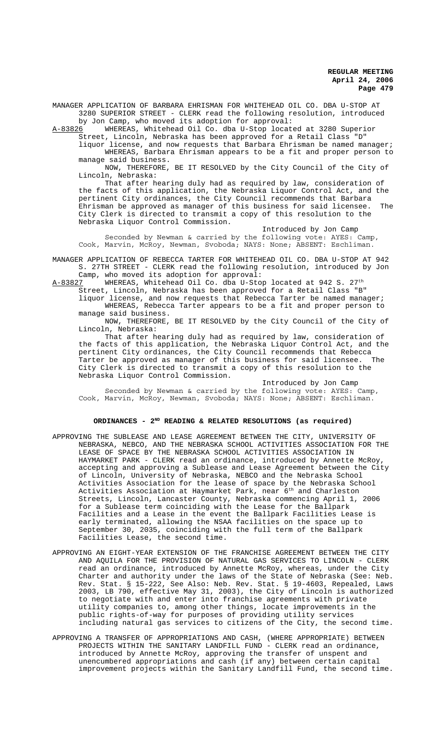MANAGER APPLICATION OF BARBARA EHRISMAN FOR WHITEHEAD OIL CO. DBA U-STOP AT 3280 SUPERIOR STREET - CLERK read the following resolution, introduced by Jon Camp, who moved its adoption for approval:

A-83826 WHEREAS, Whitehead Oil Co. dba U-Stop located at 3280 Superior Street, Lincoln, Nebraska has been approved for a Retail Class "D"

liquor license, and now requests that Barbara Ehrisman be named manager; WHEREAS, Barbara Ehrisman appears to be a fit and proper person to manage said business.

NOW, THEREFORE, BE IT RESOLVED by the City Council of the City of Lincoln, Nebraska:

That after hearing duly had as required by law, consideration of the facts of this application, the Nebraska Liquor Control Act, and the pertinent City ordinances, the City Council recommends that Barbara Ehrisman be approved as manager of this business for said licensee. The City Clerk is directed to transmit a copy of this resolution to the Nebraska Liquor Control Commission.

### Introduced by Jon Camp

Seconded by Newman & carried by the following vote: AYES: Camp, Cook, Marvin, McRoy, Newman, Svoboda; NAYS: None; ABSENT: Eschliman.

MANAGER APPLICATION OF REBECCA TARTER FOR WHITEHEAD OIL CO. DBA U-STOP AT 942 S. 27TH STREET - CLERK read the following resolution, introduced by Jon Camp, who moved its adoption for approval:<br>A-83827 WHEREAS, Whitehead Oil Co. dba U-Sto

WHEREAS, Whitehead Oil Co. dba U-Stop located at 942 S. 27<sup>th</sup>

Street, Lincoln, Nebraska has been approved for a Retail Class "B" liquor license, and now requests that Rebecca Tarter be named manager; WHEREAS, Rebecca Tarter appears to be a fit and proper person to manage said business.

NOW, THEREFORE, BE IT RESOLVED by the City Council of the City of Lincoln, Nebraska:

That after hearing duly had as required by law, consideration of the facts of this application, the Nebraska Liquor Control Act, and the pertinent City ordinances, the City Council recommends that Rebecca Tarter be approved as manager of this business for said licensee. The City Clerk is directed to transmit a copy of this resolution to the Nebraska Liquor Control Commission.

Introduced by Jon Camp Seconded by Newman & carried by the following vote: AYES: Camp, Cook, Marvin, McRoy, Newman, Svoboda; NAYS: None; ABSENT: Eschliman.

# **ORDINANCES - 2ND READING & RELATED RESOLUTIONS (as required)**

- APPROVING THE SUBLEASE AND LEASE AGREEMENT BETWEEN THE CITY, UNIVERSITY OF NEBRASKA, NEBCO, AND THE NEBRASKA SCHOOL ACTIVITIES ASSOCIATION FOR THE LEASE OF SPACE BY THE NEBRASKA SCHOOL ACTIVITIES ASSOCIATION IN HAYMARKET PARK - CLERK read an ordinance, introduced by Annette McRoy, accepting and approving a Sublease and Lease Agreement between the City of Lincoln, University of Nebraska, NEBCO and the Nebraska School Activities Association for the lease of space by the Nebraska School Activities Association at Haymarket Park, near  $6^{\text{th}}$  and Charleston Streets, Lincoln, Lancaster County, Nebraska commencing April 1, 2006 for a Sublease term coinciding with the Lease for the Ballpark Facilities and a Lease in the event the Ballpark Facilities Lease is early terminated, allowing the NSAA facilities on the space up to September 30, 2035, coinciding with the full term of the Ballpark Facilities Lease, the second time.
- APPROVING AN EIGHT-YEAR EXTENSION OF THE FRANCHISE AGREEMENT BETWEEN THE CITY AND AQUILA FOR THE PROVISION OF NATURAL GAS SERVICES TO LINCOLN - CLERK read an ordinance, introduced by Annette McRoy, whereas, under the City Charter and authority under the laws of the State of Nebraska (See: Neb. Rev. Stat. § 15-222, See Also: Neb. Rev. Stat. § 19-4603, Repealed, Laws 2003, LB 790, effective May 31, 2003), the City of Lincoln is authorized to negotiate with and enter into franchise agreements with private utility companies to, among other things, locate improvements in the public rights-of-way for purposes of providing utility services including natural gas services to citizens of the City, the second time.
- APPROVING A TRANSFER OF APPROPRIATIONS AND CASH, (WHERE APPROPRIATE) BETWEEN PROJECTS WITHIN THE SANITARY LANDFILL FUND - CLERK read an ordinance, introduced by Annette McRoy, approving the transfer of unspent and unencumbered appropriations and cash (if any) between certain capital improvement projects within the Sanitary Landfill Fund, the second time.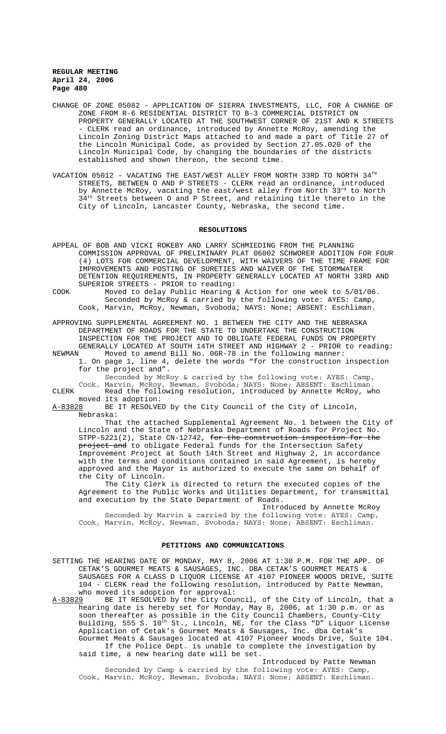- CHANGE OF ZONE 05082 APPLICATION OF SIERRA INVESTMENTS, LLC, FOR A CHANGE OF ZONE FROM R-6 RESIDENTIAL DISTRICT TO B-3 COMMERCIAL DISTRICT ON PROPERTY GENERALLY LOCATED AT THE SOUTHWEST CORNER OF 21ST AND K STREETS - CLERK read an ordinance, introduced by Annette McRoy, amending the Lincoln Zoning District Maps attached to and made a part of Title 27 of the Lincoln Municipal Code, as provided by Section 27.05.020 of the Lincoln Municipal Code, by changing the boundaries of the districts established and shown thereon, the second time.
- VACATION 05012 VACATING THE EAST/WEST ALLEY FROM NORTH 33RD TO NORTH  $34^{\text{TH}}$ STREETS, BETWEEN O AND P STREETS - CLERK read an ordinance, introduced by Annette McRoy, vacating the east/west alley from North 33<sup>rd</sup> to North 34<sup>th</sup> Streets between O and P Street, and retaining title thereto in the City of Lincoln, Lancaster County, Nebraska, the second time.

#### **RESOLUTIONS**

- APPEAL OF BOB AND VICKI ROKEBY AND LARRY SCHMIEDING FROM THE PLANNING COMMISSION APPROVAL OF PRELIMINARY PLAT 06002 SCHWORER ADDITION FOR FOUR (4) LOTS FOR COMMERCIAL DEVELOPMENT, WITH WAIVERS OF THE TIME FRAME FOR IMPROVEMENTS AND POSTING OF SURETIES AND WAIVER OF THE STORMWATER DETENTION REQUIREMENTS, IN PROPERTY GENERALLY LOCATED AT NORTH 33RD AND SUPERIOR STREETS - PRIOR to reading:
- COOK Moved to delay Public Hearing & Action for one week to 5/01/06. Seconded by McRoy & carried by the following vote: AYES: Camp, Cook, Marvin, McRoy, Newman, Svoboda; NAYS: None; ABSENT: Eschliman.
- APPROVING SUPPLEMENTAL AGREEMENT NO. 1 BETWEEN THE CITY AND THE NEBRASKA DEPARTMENT OF ROADS FOR THE STATE TO UNDERTAKE THE CONSTRUCTION INSPECTION FOR THE PROJECT AND TO OBLIGATE FEDERAL FUNDS ON PROPERTY GENERALLY LOCATED AT SOUTH 14TH STREET AND HIGHWAY 2 - PRIOR to reading: NEWMAN Moved to amend Bill No. 06R-78 in the following manner:
- 1. On page 1, line 4, delete the words "for the construction inspection for the project and".
	- Seconded by McRoy & carried by the following vote: AYES: Camp, Cook, Marvin, McRoy, Newman, Svoboda; NAYS: None; ABSENT: Eschliman.
- CLERK Read the following resolution, introduced by Annette McRoy, who moved its adoption:

A-83828 BE IT RESOLVED by the City Council of the City of Lincoln, Nebraska:

That the attached Supplemental Agreement No. 1 between the City of Lincoln and the State of Nebraska Department of Roads for Project No.  $STPP-5221(2)$ , State CN-12742, for the construction inspection for project and to obligate Federal funds for the Intersection Safety Improvement Project at South 14th Street and Highway 2, in accordance with the terms and conditions contained in said Agreement, is hereby approved and the Mayor is authorized to execute the same on behalf of the City of Lincoln.

The City Clerk is directed to return the executed copies of the Agreement to the Public Works and Utilities Department, for transmittal and execution by the State Department of Roads.

Introduced by Annette McRoy Seconded by Marvin & carried by the following vote: AYES: Camp, Cook, Marvin, McRoy, Newman, Svoboda; NAYS: None; ABSENT: Eschliman.

# **PETITIONS AND COMMUNICATIONS**

SETTING THE HEARING DATE OF MONDAY, MAY 8, 2006 AT 1:30 P.M. FOR THE APP. OF CETAK'S GOURMET MEATS & SAUSAGES, INC. DBA CETAK'S GOURMET MEATS & SAUSAGES FOR A CLASS D LIQUOR LICENSE AT 4107 PIONEER WOODS DRIVE, SUITE 104 - CLERK read the following resolution, introduced by Patte Newman, who moved its adoption for approval:

A-83829 BE IT RESOLVED by the City Council, of the City of Lincoln, that a hearing date is hereby set for Monday, May 8, 2006, at 1:30 p.m. or as soon thereafter as possible in the City Council Chambers, County-City Building, 555 S. 10<sup>th</sup> St., Lincoln, NE, for the Class "D" Liquor License Application of Cetak's Gourmet Meats & Sausages, Inc. dba Cetak's Gourmet Meats & Sausages located at 4107 Pioneer Woods Drive, Suite 104. If the Police Dept. is unable to complete the investigation by said time, a new hearing date will be set.

Introduced by Patte Newman Seconded by Camp & carried by the following vote: AYES: Camp, Cook, Marvin, McRoy, Newman, Svoboda; NAYS: None; ABSENT: Eschliman.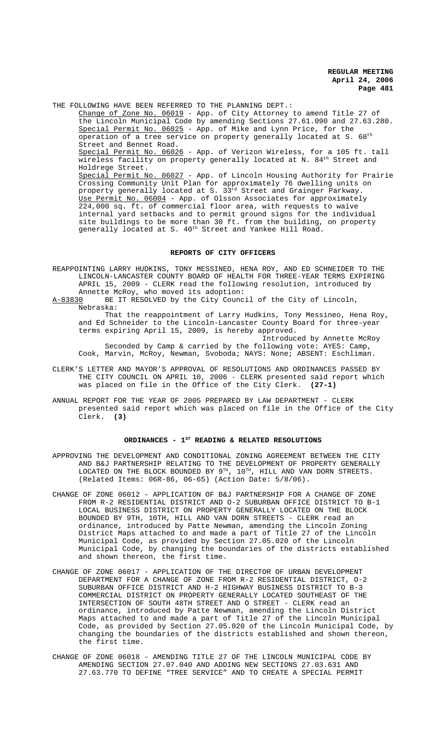THE FOLLOWING HAVE BEEN REFERRED TO THE PLANNING DEPT.: Change of Zone No. 06019 - App. of City Attorney to amend Title 27 of the Lincoln Municipal Code by amending Sections 27.61.090 and 27.63.280. Special Permit No. 06025 - App. of Mike and Lynn Price, for the operation of a tree service on property generally located at S.  $68<sup>th</sup>$ Street and Bennet Road. Special Permit No. 06026 - App. of Verizon Wireless, for a 105 ft. tall wireless facility on property generally located at N. 84<sup>th</sup> Street and Holdrege Street. Special Permit No. 06027 - App. of Lincoln Housing Authority for Prairie Crossing Community Unit Plan for approximately 76 dwelling units on property generally located at S. 33 $^{\rm rd}$  Street and Grainger Parkway. Use Permit No. 06004 - App. of Olsson Associates for approximately 224,000 sq. ft. of commercial floor area, with requests to waive internal yard setbacks and to permit ground signs for the individual site buildings to be more than 30 ft. from the building, on property generally located at S. 40<sup>th</sup> Street and Yankee Hill Road.

#### **REPORTS OF CITY OFFICERS**

REAPPOINTING LARRY HUDKINS, TONY MESSINEO, HENA ROY, AND ED SCHNEIDER TO THE LINCOLN-LANCASTER COUNTY BOARD OF HEALTH FOR THREE-YEAR TERMS EXPIRING APRIL 15, 2009 - CLERK read the following resolution, introduced by Annette McRoy, who moved its adoption:<br>A-83830 BE IT RESOLVED by the City Counc

BE IT RESOLVED by the City Council of the City of Lincoln, Nebraska:

That the reappointment of Larry Hudkins, Tony Messineo, Hena Roy, and Ed Schneider to the Lincoln-Lancaster County Board for three-year terms expiring April 15, 2009, is hereby approved.

Introduced by Annette McRoy Seconded by Camp & carried by the following vote: AYES: Camp, Cook, Marvin, McRoy, Newman, Svoboda; NAYS: None; ABSENT: Eschliman.

- CLERK'S LETTER AND MAYOR'S APPROVAL OF RESOLUTIONS AND ORDINANCES PASSED BY THE CITY COUNCIL ON APRIL 10, 2006 - CLERK presented said report which was placed on file in the Office of the City Clerk. **(27-1)**
- ANNUAL REPORT FOR THE YEAR OF 2005 PREPARED BY LAW DEPARTMENT CLERK presented said report which was placed on file in the Office of the City Clerk. **(3)**

# ORDINANCES - 1<sup>st</sup> READING & RELATED RESOLUTIONS

- APPROVING THE DEVELOPMENT AND CONDITIONAL ZONING AGREEMENT BETWEEN THE CITY AND B&J PARTNERSHIP RELATING TO THE DEVELOPMENT OF PROPERTY GENERALLY LOCATED ON THE BLOCK BOUNDED BY  $9^{TH}$ ,  $10^{TH}$ , HILL AND VAN DORN STREETS. (Related Items: 06R-86, 06-65) (Action Date: 5/8/06).
- CHANGE OF ZONE 06012 APPLICATION OF B&J PARTNERSHIP FOR A CHANGE OF ZONE FROM R-2 RESIDENTIAL DISTRICT AND O-2 SUBURBAN OFFICE DISTRICT TO B-1 LOCAL BUSINESS DISTRICT ON PROPERTY GENERALLY LOCATED ON THE BLOCK BOUNDED BY 9TH, 10TH, HILL AND VAN DORN STREETS - CLERK read an ordinance, introduced by Patte Newman, amending the Lincoln Zoning District Maps attached to and made a part of Title 27 of the Lincoln Municipal Code, as provided by Section 27.05.020 of the Lincoln Municipal Code, by changing the boundaries of the districts established and shown thereon, the first time.
- CHANGE OF ZONE 06017 APPLICATION OF THE DIRECTOR OF URBAN DEVELOPMENT DEPARTMENT FOR A CHANGE OF ZONE FROM R-2 RESIDENTIAL DISTRICT, O-2 SUBURBAN OFFICE DISTRICT AND H-2 HIGHWAY BUSINESS DISTRICT TO B-3 COMMERCIAL DISTRICT ON PROPERTY GENERALLY LOCATED SOUTHEAST OF THE INTERSECTION OF SOUTH 48TH STREET AND O STREET - CLERK read an ordinance, introduced by Patte Newman, amending the Lincoln District Maps attached to and made a part of Title 27 of the Lincoln Municipal Code, as provided by Section 27.05.020 of the Lincoln Municipal Code, by changing the boundaries of the districts established and shown thereon, the first time.
- CHANGE OF ZONE 06018 AMENDING TITLE 27 OF THE LINCOLN MUNICIPAL CODE BY AMENDING SECTION 27.07.040 AND ADDING NEW SECTIONS 27.03.631 AND 27.63.770 TO DEFINE "TREE SERVICE" AND TO CREATE A SPECIAL PERMIT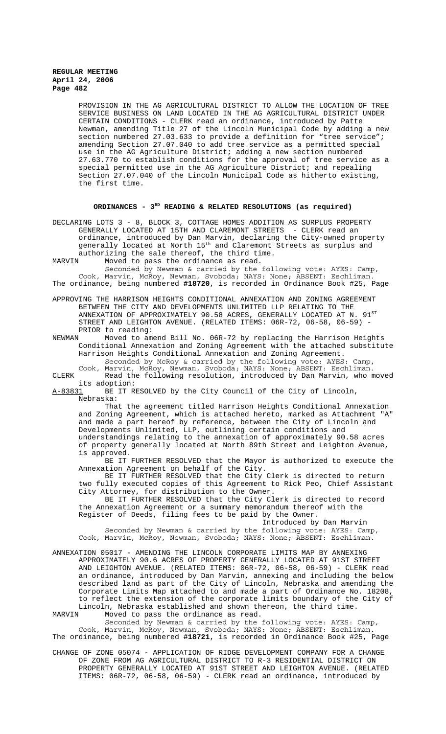> PROVISION IN THE AG AGRICULTURAL DISTRICT TO ALLOW THE LOCATION OF TREE SERVICE BUSINESS ON LAND LOCATED IN THE AG AGRICULTURAL DISTRICT UNDER CERTAIN CONDITIONS - CLERK read an ordinance, introduced by Patte Newman, amending Title 27 of the Lincoln Municipal Code by adding a new section numbered 27.03.633 to provide a definition for "tree service"; amending Section 27.07.040 to add tree service as a permitted special use in the AG Agriculture District; adding a new section numbered 27.63.770 to establish conditions for the approval of tree service as a special permitted use in the AG Agriculture District; and repealing Section 27.07.040 of the Lincoln Municipal Code as hitherto existing, the first time.

# **ORDINANCES - 3RD READING & RELATED RESOLUTIONS (as required)**

DECLARING LOTS 3 - 8, BLOCK 3, COTTAGE HOMES ADDITION AS SURPLUS PROPERTY GENERALLY LOCATED AT 15TH AND CLAREMONT STREETS - CLERK read an ordinance, introduced by Dan Marvin, declaring the City-owned property generally located at North  $15^{\text{th}}$  and Claremont Streets as surplus and authorizing the sale thereof, the third time.<br>MARVIN Moved to pass the ordinance as read.

Moved to pass the ordinance as read.

Seconded by Newman & carried by the following vote: AYES: Camp, Cook, Marvin, McRoy, Newman, Svoboda; NAYS: None; ABSENT: Eschliman. The ordinance, being numbered **#18720**, is recorded in Ordinance Book #25, Page

- APPROVING THE HARRISON HEIGHTS CONDITIONAL ANNEXATION AND ZONING AGREEMENT BETWEEN THE CITY AND DEVELOPMENTS UNLIMITED LLP RELATING TO THE ANNEXATION OF APPROXIMATELY 90.58 ACRES, GENERALLY LOCATED AT N.  $91^{ST}$ STREET AND LEIGHTON AVENUE. (RELATED ITEMS: 06R-72, 06-58, 06-59) -PRIOR to reading:<br>NEWMAN Moved to ame
- Moved to amend Bill No. 06R-72 by replacing the Harrison Heights Conditional Annexation and Zoning Agreement with the attached substitute Harrison Heights Conditional Annexation and Zoning Agreement. Seconded by McRoy & carried by the following vote: AYES: Camp,

Cook, Marvin, McRoy, Newman, Svoboda; NAYS: None; ABSENT: Eschliman. CLERK Read the following resolution, introduced by Dan Marvin, who moved

its adoption:<br>A-83831 BE IT RI BE IT RESOLVED by the City Council of the City of Lincoln, Nebraska:

That the agreement titled Harrison Heights Conditional Annexation and Zoning Agreement, which is attached hereto, marked as Attachment "A" and *Loning rightminic, may reference*, between the City of Lincoln and Developments Unlimited, LLP, outlining certain conditions and understandings relating to the annexation of approximately 90.58 acres of property generally located at North 89th Street and Leighton Avenue, is approved.

BE IT FURTHER RESOLVED that the Mayor is authorized to execute the Annexation Agreement on behalf of the City.

BE IT FURTHER RESOLVED that the City Clerk is directed to return two fully executed copies of this Agreement to Rick Peo, Chief Assistant City Attorney, for distribution to the Owner.

BE IT FURTHER RESOLVED that the City Clerk is directed to record the Annexation Agreement or a summary memorandum thereof with the Register of Deeds, filing fees to be paid by the Owner.

Introduced by Dan Marvin

Seconded by Newman & carried by the following vote: AYES: Camp, Cook, Marvin, McRoy, Newman, Svoboda; NAYS: None; ABSENT: Eschliman.

ANNEXATION 05017 - AMENDING THE LINCOLN CORPORATE LIMITS MAP BY ANNEXING APPROXIMATELY 90.6 ACRES OF PROPERTY GENERALLY LOCATED AT 91ST STREET AND LEIGHTON AVENUE. (RELATED ITEMS: 06R-72, 06-58, 06-59) - CLERK read an ordinance, introduced by Dan Marvin, annexing and including the below described land as part of the City of Lincoln, Nebraska and amending the Corporate Limits Map attached to and made a part of Ordinance No. 18208, to reflect the extension of the corporate limits boundary of the City of Lincoln, Nebraska established and shown thereon, the third time.<br>MARVIN Moved to pass the ordinance as read Moved to pass the ordinance as read.

Seconded by Newman & carried by the following vote: AYES: Camp, Cook, Marvin, McRoy, Newman, Svoboda; NAYS: None; ABSENT: Eschliman. The ordinance, being numbered **#18721**, is recorded in Ordinance Book #25, Page

CHANGE OF ZONE 05074 - APPLICATION OF RIDGE DEVELOPMENT COMPANY FOR A CHANGE OF ZONE FROM AG AGRICULTURAL DISTRICT TO R-3 RESIDENTIAL DISTRICT ON PROPERTY GENERALLY LOCATED AT 91ST STREET AND LEIGHTON AVENUE. (RELATED ITEMS: 06R-72, 06-58, 06-59) - CLERK read an ordinance, introduced by